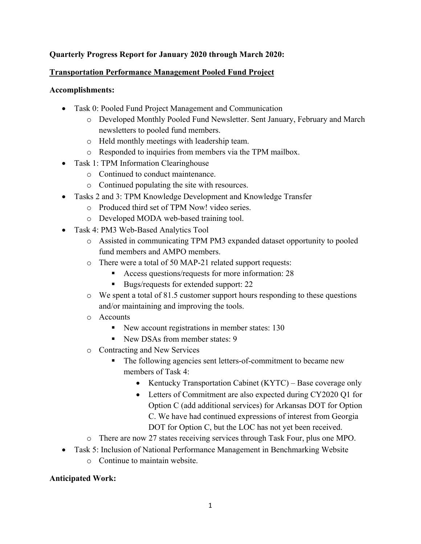#### **Quarterly Progress Report for January 2020 through March 2020:**

#### **Transportation Performance Management Pooled Fund Project**

#### **Accomplishments:**

- Task 0: Pooled Fund Project Management and Communication
	- o Developed Monthly Pooled Fund Newsletter. Sent January, February and March newsletters to pooled fund members.
	- o Held monthly meetings with leadership team.
	- o Responded to inquiries from members via the TPM mailbox.
- Task 1: TPM Information Clearinghouse
	- o Continued to conduct maintenance.
	- o Continued populating the site with resources.
- Tasks 2 and 3: TPM Knowledge Development and Knowledge Transfer
	- o Produced third set of TPM Now! video series.
	- o Developed MODA web-based training tool.
- Task 4: PM3 Web-Based Analytics Tool
	- o Assisted in communicating TPM PM3 expanded dataset opportunity to pooled fund members and AMPO members.
	- o There were a total of 50 MAP-21 related support requests:
		- Access questions/requests for more information: 28
		- Bugs/requests for extended support: 22
	- $\circ$  We spent a total of 81.5 customer support hours responding to these questions and/or maintaining and improving the tools.
	- o Accounts
		- New account registrations in member states: 130
		- New DSAs from member states: 9
	- o Contracting and New Services
		- The following agencies sent letters-of-commitment to became new members of Task 4:
			- Kentucky Transportation Cabinet  $(KYTC)$  Base coverage only
			- Letters of Commitment are also expected during CY2020 O1 for Option C (add additional services) for Arkansas DOT for Option C. We have had continued expressions of interest from Georgia DOT for Option C, but the LOC has not yet been received.
	- o There are now 27 states receiving services through Task Four, plus one MPO.
- Task 5: Inclusion of National Performance Management in Benchmarking Website
	- o Continue to maintain website.

#### **Anticipated Work:**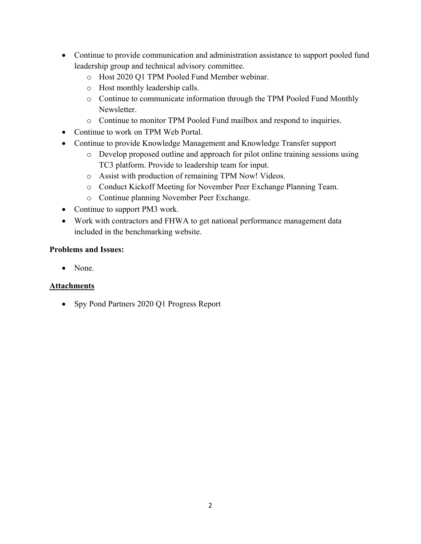- Continue to provide communication and administration assistance to support pooled fund leadership group and technical advisory committee.
	- o Host 2020 Q1 TPM Pooled Fund Member webinar.
	- o Host monthly leadership calls.
	- o Continue to communicate information through the TPM Pooled Fund Monthly Newsletter.
	- o Continue to monitor TPM Pooled Fund mailbox and respond to inquiries.
- Continue to work on TPM Web Portal.
- Continue to provide Knowledge Management and Knowledge Transfer support
	- o Develop proposed outline and approach for pilot online training sessions using TC3 platform. Provide to leadership team for input.
	- o Assist with production of remaining TPM Now! Videos.
	- o Conduct Kickoff Meeting for November Peer Exchange Planning Team.
	- o Continue planning November Peer Exchange.
- Continue to support PM3 work.
- Work with contractors and FHWA to get national performance management data included in the benchmarking website.

#### **Problems and Issues:**

• None.

#### **Attachments**

• Spy Pond Partners 2020 Q1 Progress Report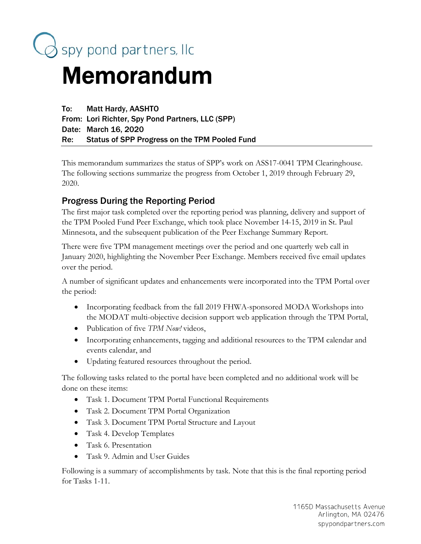

# Memorandum

To: Matt Hardy, AASHTO From: Lori Richter, Spy Pond Partners, LLC (SPP) Date: March 16, 2020 Re: Status of SPP Progress on the TPM Pooled Fund

This memorandum summarizes the status of SPP's work on ASS17-0041 TPM Clearinghouse. The following sections summarize the progress from October 1, 2019 through February 29, 2020.

# Progress During the Reporting Period

The first major task completed over the reporting period was planning, delivery and support of the TPM Pooled Fund Peer Exchange, which took place November 14-15, 2019 in St. Paul Minnesota, and the subsequent publication of the Peer Exchange Summary Report.

There were five TPM management meetings over the period and one quarterly web call in January 2020, highlighting the November Peer Exchange. Members received five email updates over the period.

A number of significant updates and enhancements were incorporated into the TPM Portal over the period:

- Incorporating feedback from the fall 2019 FHWA-sponsored MODA Workshops into the MODAT multi-objective decision support web application through the TPM Portal,
- Publication of five *TPM Now!* videos,
- Incorporating enhancements, tagging and additional resources to the TPM calendar and events calendar, and
- Updating featured resources throughout the period.

The following tasks related to the portal have been completed and no additional work will be done on these items:

- Task 1. Document TPM Portal Functional Requirements
- Task 2. Document TPM Portal Organization
- Task 3. Document TPM Portal Structure and Layout
- Task 4. Develop Templates
- Task 6. Presentation
- Task 9. Admin and User Guides

Following is a summary of accomplishments by task. Note that this is the final reporting period for Tasks 1-11.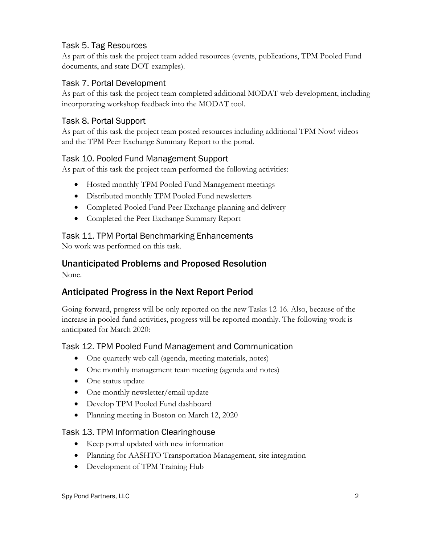## Task 5. Tag Resources

As part of this task the project team added resources (events, publications, TPM Pooled Fund documents, and state DOT examples).

#### Task 7. Portal Development

As part of this task the project team completed additional MODAT web development, including incorporating workshop feedback into the MODAT tool.

## Task 8. Portal Support

As part of this task the project team posted resources including additional TPM Now! videos and the TPM Peer Exchange Summary Report to the portal.

## Task 10. Pooled Fund Management Support

As part of this task the project team performed the following activities:

- Hosted monthly TPM Pooled Fund Management meetings
- Distributed monthly TPM Pooled Fund newsletters
- Completed Pooled Fund Peer Exchange planning and delivery
- Completed the Peer Exchange Summary Report

## Task 11. TPM Portal Benchmarking Enhancements

No work was performed on this task.

# Unanticipated Problems and Proposed Resolution

None.

# Anticipated Progress in the Next Report Period

Going forward, progress will be only reported on the new Tasks 12-16. Also, because of the increase in pooled fund activities, progress will be reported monthly. The following work is anticipated for March 2020:

## Task 12. TPM Pooled Fund Management and Communication

- One quarterly web call (agenda, meeting materials, notes)
- One monthly management team meeting (agenda and notes)
- One status update
- One monthly newsletter/email update
- Develop TPM Pooled Fund dashboard
- Planning meeting in Boston on March 12, 2020

#### Task 13. TPM Information Clearinghouse

- Keep portal updated with new information
- Planning for AASHTO Transportation Management, site integration
- Development of TPM Training Hub